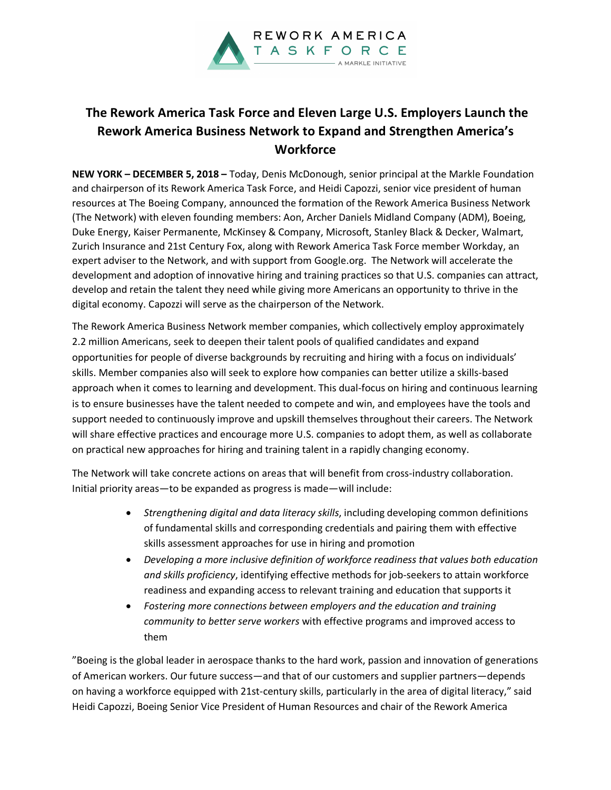

# **The Rework America Task Force and Eleven Large U.S. Employers Launch the Rework America Business Network to Expand and Strengthen America's Workforce**

**NEW YORK – DECEMBER 5, 2018 –** Today, Denis McDonough, senior principal at the Markle Foundation and chairperson of its Rework America Task Force, and Heidi Capozzi, senior vice president of human resources at The Boeing Company, announced the formation of the Rework America Business Network (The Network) with eleven founding members: Aon, Archer Daniels Midland Company (ADM), Boeing, Duke Energy, Kaiser Permanente, McKinsey & Company, Microsoft, Stanley Black & Decker, Walmart, Zurich Insurance and 21st Century Fox, along with Rework America Task Force member Workday, an expert adviser to the Network, and with support from Google.org. The Network will accelerate the development and adoption of innovative hiring and training practices so that U.S. companies can attract, develop and retain the talent they need while giving more Americans an opportunity to thrive in the digital economy. Capozzi will serve as the chairperson of the Network.

The Rework America Business Network member companies, which collectively employ approximately 2.2 million Americans, seek to deepen their talent pools of qualified candidates and expand opportunities for people of diverse backgrounds by recruiting and hiring with a focus on individuals' skills. Member companies also will seek to explore how companies can better utilize a skills-based approach when it comes to learning and development. This dual-focus on hiring and continuous learning is to ensure businesses have the talent needed to compete and win, and employees have the tools and support needed to continuously improve and upskill themselves throughout their careers. The Network will share effective practices and encourage more U.S. companies to adopt them, as well as collaborate on practical new approaches for hiring and training talent in a rapidly changing economy.

The Network will take concrete actions on areas that will benefit from cross-industry collaboration. Initial priority areas—to be expanded as progress is made—will include:

- *Strengthening digital and data literacy skills*, including developing common definitions of fundamental skills and corresponding credentials and pairing them with effective skills assessment approaches for use in hiring and promotion
- *Developing a more inclusive definition of workforce readiness that values both education and skills proficiency*, identifying effective methods for job-seekers to attain workforce readiness and expanding access to relevant training and education that supports it
- *Fostering more connections between employers and the education and training community to better serve workers* with effective programs and improved access to them

"Boeing is the global leader in aerospace thanks to the hard work, passion and innovation of generations of American workers. Our future success—and that of our customers and supplier partners—depends on having a workforce equipped with 21st-century skills, particularly in the area of digital literacy," said Heidi Capozzi, Boeing Senior Vice President of Human Resources and chair of the Rework America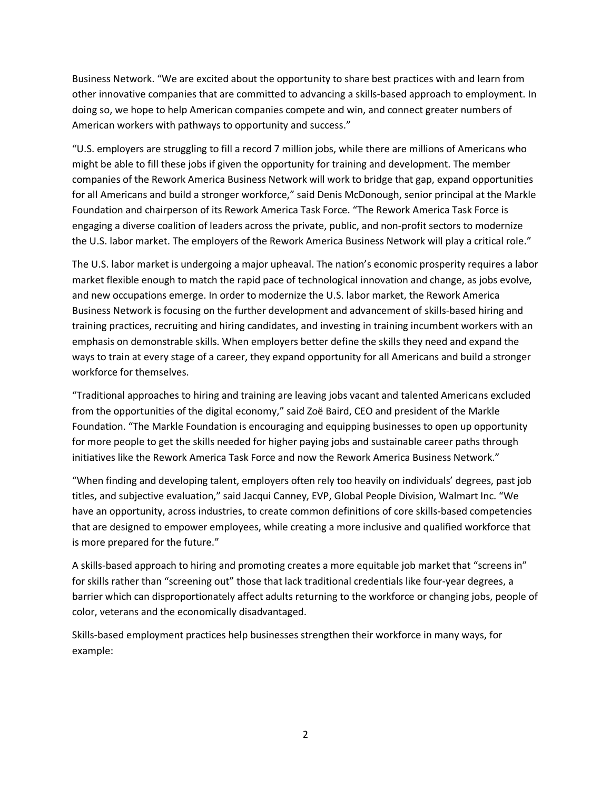Business Network. "We are excited about the opportunity to share best practices with and learn from other innovative companies that are committed to advancing a skills-based approach to employment. In doing so, we hope to help American companies compete and win, and connect greater numbers of American workers with pathways to opportunity and success."

"U.S. employers are struggling to fill a record 7 million jobs, while there are millions of Americans who might be able to fill these jobs if given the opportunity for training and development. The member companies of the Rework America Business Network will work to bridge that gap, expand opportunities for all Americans and build a stronger workforce," said Denis McDonough, senior principal at the Markle Foundation and chairperson of its Rework America Task Force. "The Rework America Task Force is engaging a diverse coalition of leaders across the private, public, and non-profit sectors to modernize the U.S. labor market. The employers of the Rework America Business Network will play a critical role."

The U.S. labor market is undergoing a major upheaval. The nation's economic prosperity requires a labor market flexible enough to match the rapid pace of technological innovation and change, as jobs evolve, and new occupations emerge. In order to modernize the U.S. labor market, the Rework America Business Network is focusing on the further development and advancement of skills-based hiring and training practices, recruiting and hiring candidates, and investing in training incumbent workers with an emphasis on demonstrable skills. When employers better define the skills they need and expand the ways to train at every stage of a career, they expand opportunity for all Americans and build a stronger workforce for themselves.

"Traditional approaches to hiring and training are leaving jobs vacant and talented Americans excluded from the opportunities of the digital economy," said Zoë Baird, CEO and president of the Markle Foundation. "The Markle Foundation is encouraging and equipping businesses to open up opportunity for more people to get the skills needed for higher paying jobs and sustainable career paths through initiatives like the Rework America Task Force and now the Rework America Business Network."

"When finding and developing talent, employers often rely too heavily on individuals' degrees, past job titles, and subjective evaluation," said Jacqui Canney, EVP, Global People Division, Walmart Inc. "We have an opportunity, across industries, to create common definitions of core skills-based competencies that are designed to empower employees, while creating a more inclusive and qualified workforce that is more prepared for the future."

A skills-based approach to hiring and promoting creates a more equitable job market that "screens in" for skills rather than "screening out" those that lack traditional credentials like four-year degrees, a barrier which can disproportionately affect adults returning to the workforce or changing jobs, people of color, veterans and the economically disadvantaged.

Skills-based employment practices help businesses strengthen their workforce in many ways, for example: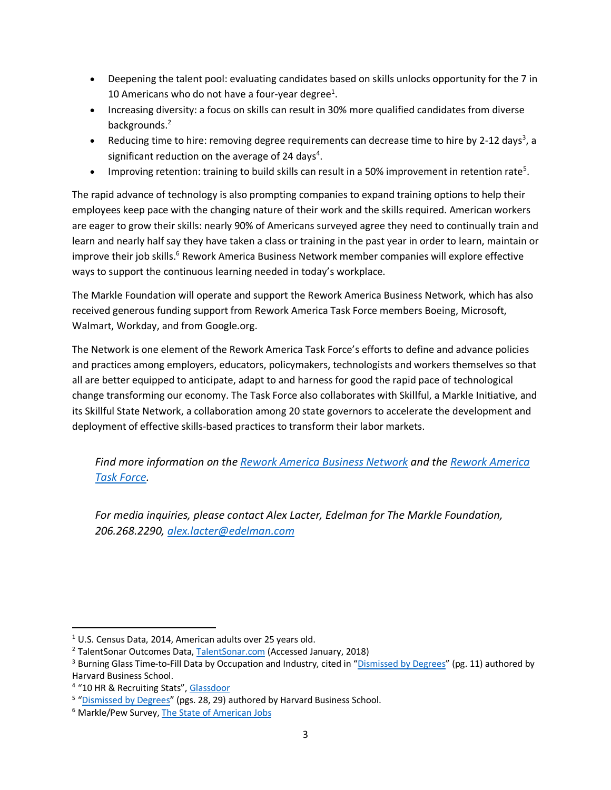- Deepening the talent pool: evaluating candidates based on skills unlocks opportunity for the 7 in 10 Americans who do not have a four-year degree<sup>1</sup>.
- Increasing diversity: a focus on skills can result in 30% more qualified candidates from diverse backgrounds.2
- Reducing time to hire: removing degree requirements can decrease time to hire by 2-12 days<sup>3</sup>, a significant reduction on the average of 24 days<sup>4</sup>.
- Improving retention: training to build skills can result in a 50% improvement in retention rate<sup>5</sup>.

The rapid advance of technology is also prompting companies to expand training options to help their employees keep pace with the changing nature of their work and the skills required. American workers are eager to grow their skills: nearly 90% of Americans surveyed agree they need to continually train and learn and nearly half say they have taken a class or training in the past year in order to learn, maintain or improve their job skills.<sup>6</sup> Rework America Business Network member companies will explore effective ways to support the continuous learning needed in today's workplace.

The Markle Foundation will operate and support the Rework America Business Network, which has also received generous funding support from Rework America Task Force members Boeing, Microsoft, Walmart, Workday, and from Google.org.

The Network is one element of the Rework America Task Force's efforts to define and advance policies and practices among employers, educators, policymakers, technologists and workers themselves so that all are better equipped to anticipate, adapt to and harness for good the rapid pace of technological change transforming our economy. The Task Force also collaborates with Skillful, a Markle Initiative, and its Skillful State Network, a collaboration among 20 state governors to accelerate the development and deployment of effective skills-based practices to transform their labor markets.

*Find more information on the Rework America Business Network and the Rework America Task Force.* 

*For media inquiries, please contact Alex Lacter, Edelman for The Markle Foundation, 206.268.2290, alex.lacter@edelman.com*

 <sup>1</sup> U.S. Census Data, 2014, American adults over 25 years old.

<sup>&</sup>lt;sup>2</sup> TalentSonar Outcomes Data, TalentSonar.com (Accessed January, 2018)

<sup>&</sup>lt;sup>3</sup> Burning Glass Time-to-Fill Data by Occupation and Industry, cited in "Dismissed by Degrees" (pg. 11) authored by Harvard Business School.

<sup>4</sup> "10 HR & Recruiting Stats", Glassdoor

<sup>&</sup>lt;sup>5</sup> "Dismissed by Degrees" (pgs. 28, 29) authored by Harvard Business School.

<sup>6</sup> Markle/Pew Survey, The State of American Jobs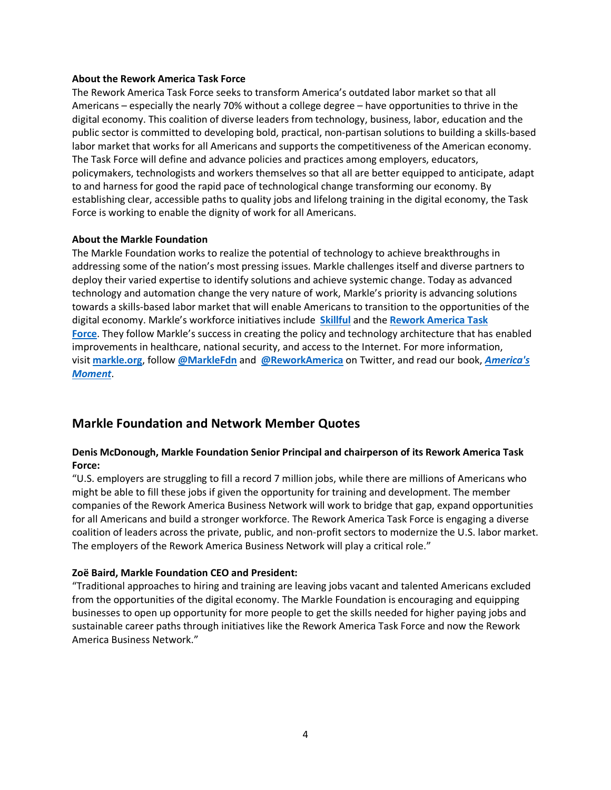#### **About the Rework America Task Force**

The Rework America Task Force seeks to transform America's outdated labor market so that all Americans – especially the nearly 70% without a college degree – have opportunities to thrive in the digital economy. This coalition of diverse leaders from technology, business, labor, education and the public sector is committed to developing bold, practical, non-partisan solutions to building a skills-based labor market that works for all Americans and supports the competitiveness of the American economy. The Task Force will define and advance policies and practices among employers, educators, policymakers, technologists and workers themselves so that all are better equipped to anticipate, adapt to and harness for good the rapid pace of technological change transforming our economy. By establishing clear, accessible paths to quality jobs and lifelong training in the digital economy, the Task Force is working to enable the dignity of work for all Americans.

#### **About the Markle Foundation**

The Markle Foundation works to realize the potential of technology to achieve breakthroughs in addressing some of the nation's most pressing issues. Markle challenges itself and diverse partners to deploy their varied expertise to identify solutions and achieve systemic change. Today as advanced technology and automation change the very nature of work, Markle's priority is advancing solutions towards a skills-based labor market that will enable Americans to transition to the opportunities of the digital economy. Markle's workforce initiatives include **Skillful** and the **Rework America Task Force**. They follow Markle's success in creating the policy and technology architecture that has enabled improvements in healthcare, national security, and access to the Internet. For more information, visit **markle.org**, follow **@MarkleFdn** and **@ReworkAmerica** on Twitter, and read our book, *America's Moment*.

# **Markle Foundation and Network Member Quotes**

## **Denis McDonough, Markle Foundation Senior Principal and chairperson of its Rework America Task Force:**

"U.S. employers are struggling to fill a record 7 million jobs, while there are millions of Americans who might be able to fill these jobs if given the opportunity for training and development. The member companies of the Rework America Business Network will work to bridge that gap, expand opportunities for all Americans and build a stronger workforce. The Rework America Task Force is engaging a diverse coalition of leaders across the private, public, and non-profit sectors to modernize the U.S. labor market. The employers of the Rework America Business Network will play a critical role."

#### **Zoë Baird, Markle Foundation CEO and President:**

"Traditional approaches to hiring and training are leaving jobs vacant and talented Americans excluded from the opportunities of the digital economy. The Markle Foundation is encouraging and equipping businesses to open up opportunity for more people to get the skills needed for higher paying jobs and sustainable career paths through initiatives like the Rework America Task Force and now the Rework America Business Network."